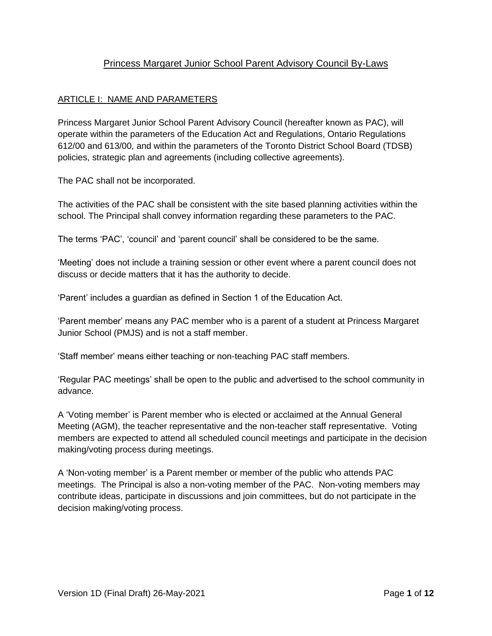# Princess Margaret Junior School Parent Advisory Council By-Laws

### ARTICLE I: NAME AND PARAMETERS

Princess Margaret Junior School Parent Advisory Council (hereafter known as PAC), will operate within the parameters of the Education Act and Regulations, Ontario Regulations 612/00 and 613/00, and within the parameters of the Toronto District School Board (TDSB) policies, strategic plan and agreements (including collective agreements).

The PAC shall not be incorporated.

The activities of the PAC shall be consistent with the site based planning activities within the school. The Principal shall convey information regarding these parameters to the PAC.

The terms 'PAC', 'council' and 'parent council' shall be considered to be the same.

'Meeting' does not include a training session or other event where a parent council does not discuss or decide matters that it has the authority to decide.

'Parent' includes a guardian as defined in Section 1 of the Education Act.

'Parent member' means any PAC member who is a parent of a student at Princess Margaret Junior School (PMJS) and is not a staff member.

'Staff member' means either teaching or non-teaching PAC staff members.

'Regular PAC meetings' shall be open to the public and advertised to the school community in advance.

A 'Voting member' is Parent member who is elected or acclaimed at the Annual General Meeting (AGM), the teacher representative and the non-teacher staff representative. Voting members are expected to attend all scheduled council meetings and participate in the decision making/voting process during meetings.

A 'Non-voting member' is a Parent member or member of the public who attends PAC meetings. The Principal is also a non-voting member of the PAC. Non-voting members may contribute ideas, participate in discussions and join committees, but do not participate in the decision making/voting process.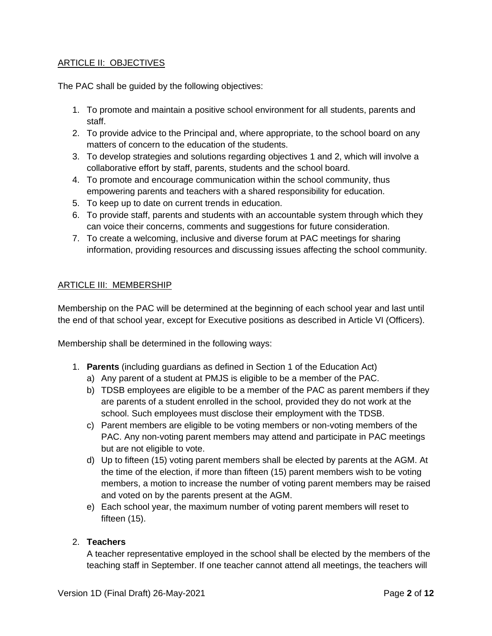### **ARTICLE II: OBJECTIVES**

The PAC shall be guided by the following objectives:

- 1. To promote and maintain a positive school environment for all students, parents and staff.
- 2. To provide advice to the Principal and, where appropriate, to the school board on any matters of concern to the education of the students.
- 3. To develop strategies and solutions regarding objectives 1 and 2, which will involve a collaborative effort by staff, parents, students and the school board.
- 4. To promote and encourage communication within the school community, thus empowering parents and teachers with a shared responsibility for education.
- 5. To keep up to date on current trends in education.
- 6. To provide staff, parents and students with an accountable system through which they can voice their concerns, comments and suggestions for future consideration.
- 7. To create a welcoming, inclusive and diverse forum at PAC meetings for sharing information, providing resources and discussing issues affecting the school community.

### ARTICLE III: MEMBERSHIP

Membership on the PAC will be determined at the beginning of each school year and last until the end of that school year, except for Executive positions as described in Article VI (Officers).

Membership shall be determined in the following ways:

- 1. **Parents** (including guardians as defined in Section 1 of the Education Act)
	- a) Any parent of a student at PMJS is eligible to be a member of the PAC.
	- b) TDSB employees are eligible to be a member of the PAC as parent members if they are parents of a student enrolled in the school, provided they do not work at the school. Such employees must disclose their employment with the TDSB.
	- c) Parent members are eligible to be voting members or non-voting members of the PAC. Any non-voting parent members may attend and participate in PAC meetings but are not eligible to vote.
	- d) Up to fifteen (15) voting parent members shall be elected by parents at the AGM. At the time of the election, if more than fifteen (15) parent members wish to be voting members, a motion to increase the number of voting parent members may be raised and voted on by the parents present at the AGM.
	- e) Each school year, the maximum number of voting parent members will reset to fifteen (15).

### 2. **Teachers**

A teacher representative employed in the school shall be elected by the members of the teaching staff in September. If one teacher cannot attend all meetings, the teachers will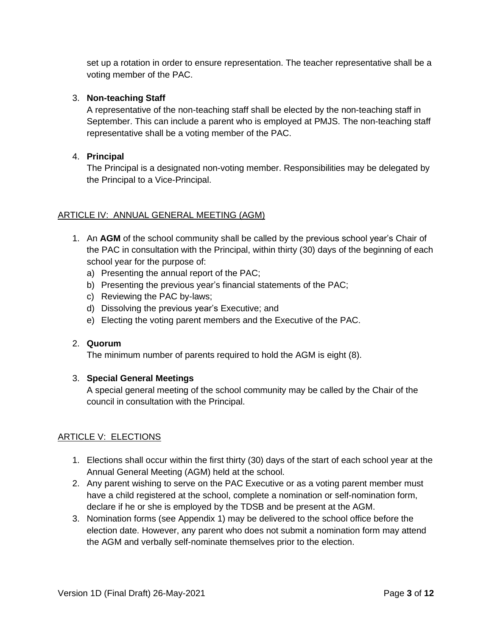set up a rotation in order to ensure representation. The teacher representative shall be a voting member of the PAC.

### 3. **Non-teaching Staff**

A representative of the non-teaching staff shall be elected by the non-teaching staff in September. This can include a parent who is employed at PMJS. The non-teaching staff representative shall be a voting member of the PAC.

### 4. **Principal**

The Principal is a designated non-voting member. Responsibilities may be delegated by the Principal to a Vice-Principal.

### ARTICLE IV: ANNUAL GENERAL MEETING (AGM)

- 1. An **AGM** of the school community shall be called by the previous school year's Chair of the PAC in consultation with the Principal, within thirty (30) days of the beginning of each school year for the purpose of:
	- a) Presenting the annual report of the PAC;
	- b) Presenting the previous year's financial statements of the PAC;
	- c) Reviewing the PAC by-laws;
	- d) Dissolving the previous year's Executive; and
	- e) Electing the voting parent members and the Executive of the PAC.

### 2. **Quorum**

The minimum number of parents required to hold the AGM is eight (8).

### 3. **Special General Meetings**

A special general meeting of the school community may be called by the Chair of the council in consultation with the Principal.

### ARTICLE V: ELECTIONS

- 1. Elections shall occur within the first thirty (30) days of the start of each school year at the Annual General Meeting (AGM) held at the school.
- 2. Any parent wishing to serve on the PAC Executive or as a voting parent member must have a child registered at the school, complete a nomination or self-nomination form, declare if he or she is employed by the TDSB and be present at the AGM.
- 3. Nomination forms (see Appendix 1) may be delivered to the school office before the election date. However, any parent who does not submit a nomination form may attend the AGM and verbally self-nominate themselves prior to the election.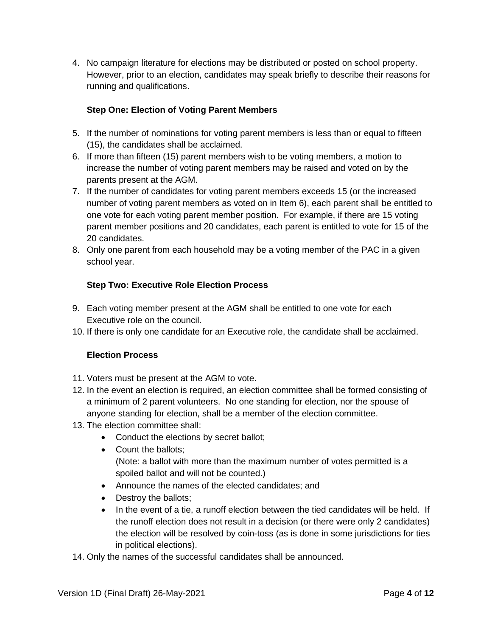4. No campaign literature for elections may be distributed or posted on school property. However, prior to an election, candidates may speak briefly to describe their reasons for running and qualifications.

# **Step One: Election of Voting Parent Members**

- 5. If the number of nominations for voting parent members is less than or equal to fifteen (15), the candidates shall be acclaimed.
- 6. If more than fifteen (15) parent members wish to be voting members, a motion to increase the number of voting parent members may be raised and voted on by the parents present at the AGM.
- 7. If the number of candidates for voting parent members exceeds 15 (or the increased number of voting parent members as voted on in Item 6), each parent shall be entitled to one vote for each voting parent member position. For example, if there are 15 voting parent member positions and 20 candidates, each parent is entitled to vote for 15 of the 20 candidates.
- 8. Only one parent from each household may be a voting member of the PAC in a given school year.

# **Step Two: Executive Role Election Process**

- 9. Each voting member present at the AGM shall be entitled to one vote for each Executive role on the council.
- 10. If there is only one candidate for an Executive role, the candidate shall be acclaimed.

# **Election Process**

- 11. Voters must be present at the AGM to vote.
- 12. In the event an election is required, an election committee shall be formed consisting of a minimum of 2 parent volunteers. No one standing for election, nor the spouse of anyone standing for election, shall be a member of the election committee.
- 13. The election committee shall:
	- Conduct the elections by secret ballot;
	- Count the ballots; (Note: a ballot with more than the maximum number of votes permitted is a spoiled ballot and will not be counted.)
	- Announce the names of the elected candidates; and
	- Destroy the ballots;
	- In the event of a tie, a runoff election between the tied candidates will be held. If the runoff election does not result in a decision (or there were only 2 candidates) the election will be resolved by coin-toss (as is done in some jurisdictions for ties in political elections).
- 14. Only the names of the successful candidates shall be announced.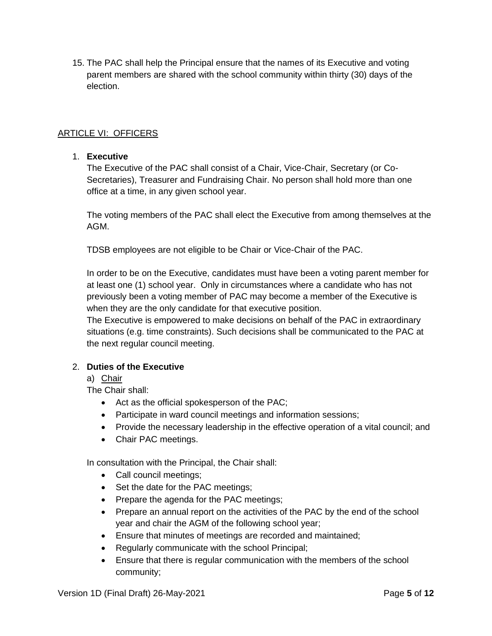15. The PAC shall help the Principal ensure that the names of its Executive and voting parent members are shared with the school community within thirty (30) days of the election.

### ARTICLE VI: OFFICERS

#### 1. **Executive**

The Executive of the PAC shall consist of a Chair, Vice-Chair, Secretary (or Co-Secretaries), Treasurer and Fundraising Chair. No person shall hold more than one office at a time, in any given school year.

The voting members of the PAC shall elect the Executive from among themselves at the AGM.

TDSB employees are not eligible to be Chair or Vice-Chair of the PAC.

In order to be on the Executive, candidates must have been a voting parent member for at least one (1) school year. Only in circumstances where a candidate who has not previously been a voting member of PAC may become a member of the Executive is when they are the only candidate for that executive position.

The Executive is empowered to make decisions on behalf of the PAC in extraordinary situations (e.g. time constraints). Such decisions shall be communicated to the PAC at the next regular council meeting.

### 2. **Duties of the Executive**

### a) Chair

The Chair shall:

- Act as the official spokesperson of the PAC;
- Participate in ward council meetings and information sessions;
- Provide the necessary leadership in the effective operation of a vital council; and
- Chair PAC meetings.

In consultation with the Principal, the Chair shall:

- Call council meetings;
- Set the date for the PAC meetings;
- Prepare the agenda for the PAC meetings;
- Prepare an annual report on the activities of the PAC by the end of the school year and chair the AGM of the following school year;
- Ensure that minutes of meetings are recorded and maintained;
- Regularly communicate with the school Principal;
- Ensure that there is regular communication with the members of the school community;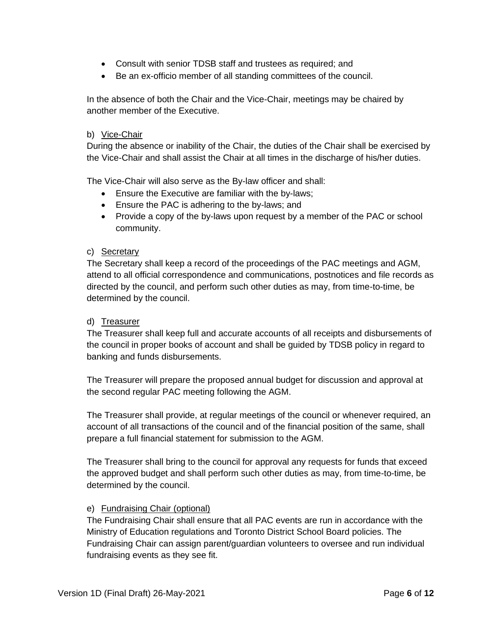- Consult with senior TDSB staff and trustees as required; and
- Be an ex-officio member of all standing committees of the council.

In the absence of both the Chair and the Vice-Chair, meetings may be chaired by another member of the Executive.

#### b) Vice-Chair

During the absence or inability of the Chair, the duties of the Chair shall be exercised by the Vice-Chair and shall assist the Chair at all times in the discharge of his/her duties.

The Vice-Chair will also serve as the By-law officer and shall:

- Ensure the Executive are familiar with the by-laws;
- Ensure the PAC is adhering to the by-laws; and
- Provide a copy of the by-laws upon request by a member of the PAC or school community.

#### c) Secretary

The Secretary shall keep a record of the proceedings of the PAC meetings and AGM, attend to all official correspondence and communications, postnotices and file records as directed by the council, and perform such other duties as may, from time-to-time, be determined by the council.

#### d) Treasurer

The Treasurer shall keep full and accurate accounts of all receipts and disbursements of the council in proper books of account and shall be guided by TDSB policy in regard to banking and funds disbursements.

The Treasurer will prepare the proposed annual budget for discussion and approval at the second regular PAC meeting following the AGM.

The Treasurer shall provide, at regular meetings of the council or whenever required, an account of all transactions of the council and of the financial position of the same, shall prepare a full financial statement for submission to the AGM.

The Treasurer shall bring to the council for approval any requests for funds that exceed the approved budget and shall perform such other duties as may, from time-to-time, be determined by the council.

### e) Fundraising Chair (optional)

The Fundraising Chair shall ensure that all PAC events are run in accordance with the Ministry of Education regulations and Toronto District School Board policies. The Fundraising Chair can assign parent/guardian volunteers to oversee and run individual fundraising events as they see fit.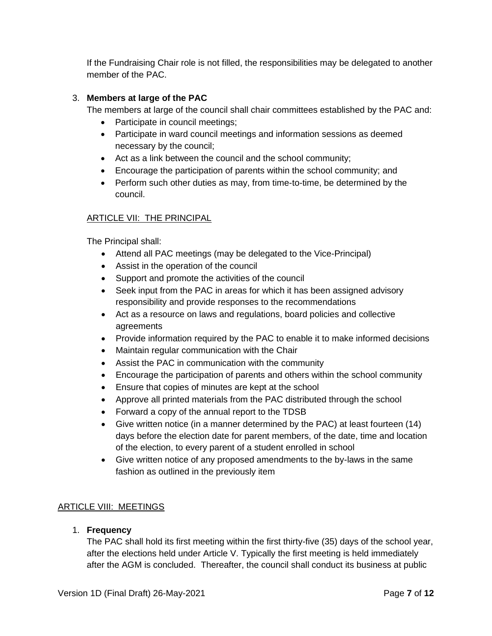If the Fundraising Chair role is not filled, the responsibilities may be delegated to another member of the PAC.

### 3. **Members at large of the PAC**

The members at large of the council shall chair committees established by the PAC and:

- Participate in council meetings;
- Participate in ward council meetings and information sessions as deemed necessary by the council;
- Act as a link between the council and the school community;
- Encourage the participation of parents within the school community; and
- Perform such other duties as may, from time-to-time, be determined by the council.

### ARTICLE VII: THE PRINCIPAL

The Principal shall:

- Attend all PAC meetings (may be delegated to the Vice-Principal)
- Assist in the operation of the council
- Support and promote the activities of the council
- Seek input from the PAC in areas for which it has been assigned advisory responsibility and provide responses to the recommendations
- Act as a resource on laws and regulations, board policies and collective agreements
- Provide information required by the PAC to enable it to make informed decisions
- Maintain regular communication with the Chair
- Assist the PAC in communication with the community
- Encourage the participation of parents and others within the school community
- Ensure that copies of minutes are kept at the school
- Approve all printed materials from the PAC distributed through the school
- Forward a copy of the annual report to the TDSB
- Give written notice (in a manner determined by the PAC) at least fourteen (14) days before the election date for parent members, of the date, time and location of the election, to every parent of a student enrolled in school
- Give written notice of any proposed amendments to the by-laws in the same fashion as outlined in the previously item

### ARTICLE VIII: MEETINGS

1. **Frequency**

The PAC shall hold its first meeting within the first thirty-five (35) days of the school year, after the elections held under Article V. Typically the first meeting is held immediately after the AGM is concluded. Thereafter, the council shall conduct its business at public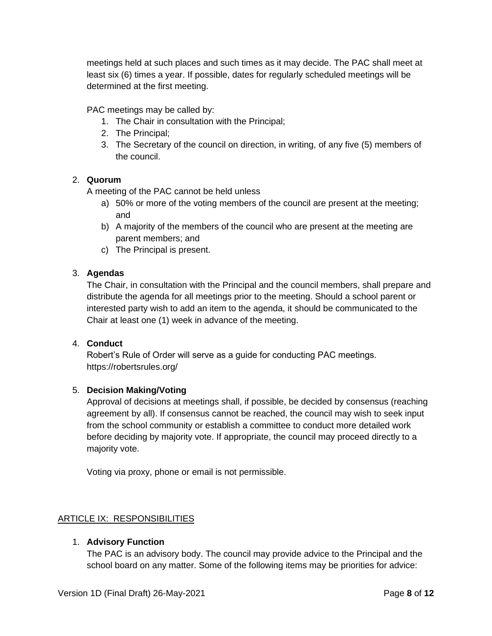meetings held at such places and such times as it may decide. The PAC shall meet at least six (6) times a year. If possible, dates for regularly scheduled meetings will be determined at the first meeting.

PAC meetings may be called by:

- 1. The Chair in consultation with the Principal;
- 2. The Principal;
- 3. The Secretary of the council on direction, in writing, of any five (5) members of the council.

### 2. **Quorum**

A meeting of the PAC cannot be held unless

- a) 50% or more of the voting members of the council are present at the meeting; and
- b) A majority of the members of the council who are present at the meeting are parent members; and
- c) The Principal is present.

### 3. **Agendas**

The Chair, in consultation with the Principal and the council members, shall prepare and distribute the agenda for all meetings prior to the meeting. Should a school parent or interested party wish to add an item to the agenda, it should be communicated to the Chair at least one (1) week in advance of the meeting.

### 4. **Conduct**

Robert's Rule of Order will serve as a guide for conducting PAC meetings. https://robertsrules.org/

# 5. **Decision Making/Voting**

Approval of decisions at meetings shall, if possible, be decided by consensus (reaching agreement by all). If consensus cannot be reached, the council may wish to seek input from the school community or establish a committee to conduct more detailed work before deciding by majority vote. If appropriate, the council may proceed directly to a majority vote.

Voting via proxy, phone or email is not permissible.

# ARTICLE IX: RESPONSIBILITIES

# 1. **Advisory Function**

The PAC is an advisory body. The council may provide advice to the Principal and the school board on any matter. Some of the following items may be priorities for advice: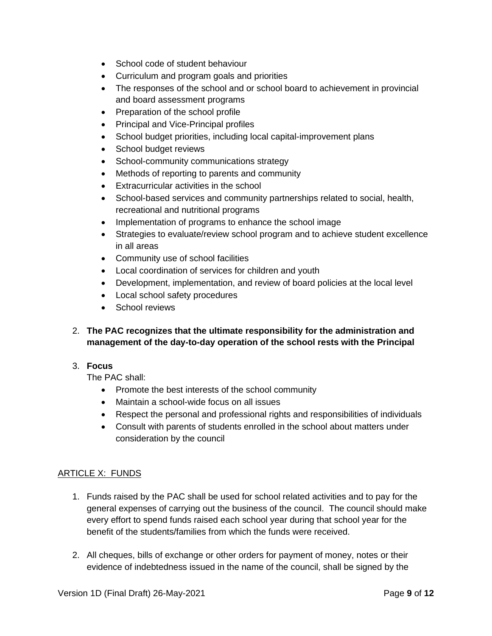- School code of student behaviour
- Curriculum and program goals and priorities
- The responses of the school and or school board to achievement in provincial and board assessment programs
- Preparation of the school profile
- Principal and Vice-Principal profiles
- School budget priorities, including local capital-improvement plans
- School budget reviews
- School-community communications strategy
- Methods of reporting to parents and community
- Extracurricular activities in the school
- School-based services and community partnerships related to social, health, recreational and nutritional programs
- Implementation of programs to enhance the school image
- Strategies to evaluate/review school program and to achieve student excellence in all areas
- Community use of school facilities
- Local coordination of services for children and youth
- Development, implementation, and review of board policies at the local level
- Local school safety procedures
- School reviews

# 2. **The PAC recognizes that the ultimate responsibility for the administration and management of the day-to-day operation of the school rests with the Principal**

### 3. **Focus**

The PAC shall:

- Promote the best interests of the school community
- Maintain a school-wide focus on all issues
- Respect the personal and professional rights and responsibilities of individuals
- Consult with parents of students enrolled in the school about matters under consideration by the council

### ARTICLE X: FUNDS

- 1. Funds raised by the PAC shall be used for school related activities and to pay for the general expenses of carrying out the business of the council. The council should make every effort to spend funds raised each school year during that school year for the benefit of the students/families from which the funds were received.
- 2. All cheques, bills of exchange or other orders for payment of money, notes or their evidence of indebtedness issued in the name of the council, shall be signed by the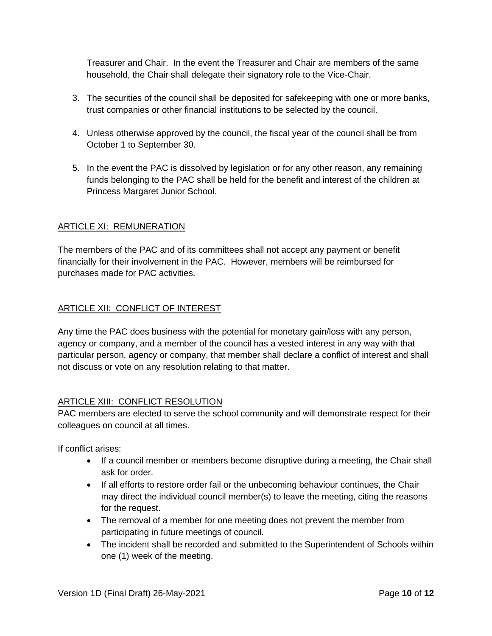Treasurer and Chair. In the event the Treasurer and Chair are members of the same household, the Chair shall delegate their signatory role to the Vice-Chair.

- 3. The securities of the council shall be deposited for safekeeping with one or more banks, trust companies or other financial institutions to be selected by the council.
- 4. Unless otherwise approved by the council, the fiscal year of the council shall be from October 1 to September 30.
- 5. In the event the PAC is dissolved by legislation or for any other reason, any remaining funds belonging to the PAC shall be held for the benefit and interest of the children at Princess Margaret Junior School.

### ARTICLE XI: REMUNERATION

The members of the PAC and of its committees shall not accept any payment or benefit financially for their involvement in the PAC. However, members will be reimbursed for purchases made for PAC activities.

### ARTICLE XII: CONFLICT OF INTEREST

Any time the PAC does business with the potential for monetary gain/loss with any person, agency or company, and a member of the council has a vested interest in any way with that particular person, agency or company, that member shall declare a conflict of interest and shall not discuss or vote on any resolution relating to that matter.

### ARTICLE XIII: CONFLICT RESOLUTION

PAC members are elected to serve the school community and will demonstrate respect for their colleagues on council at all times.

If conflict arises:

- If a council member or members become disruptive during a meeting, the Chair shall ask for order.
- If all efforts to restore order fail or the unbecoming behaviour continues, the Chair may direct the individual council member(s) to leave the meeting, citing the reasons for the request.
- The removal of a member for one meeting does not prevent the member from participating in future meetings of council.
- The incident shall be recorded and submitted to the Superintendent of Schools within one (1) week of the meeting.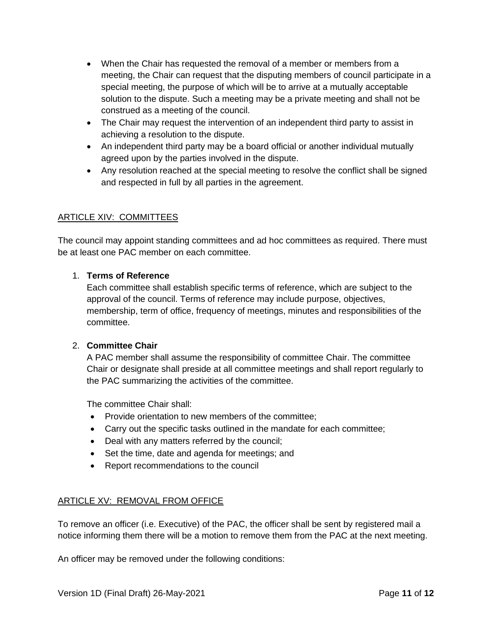- When the Chair has requested the removal of a member or members from a meeting, the Chair can request that the disputing members of council participate in a special meeting, the purpose of which will be to arrive at a mutually acceptable solution to the dispute. Such a meeting may be a private meeting and shall not be construed as a meeting of the council.
- The Chair may request the intervention of an independent third party to assist in achieving a resolution to the dispute.
- An independent third party may be a board official or another individual mutually agreed upon by the parties involved in the dispute.
- Any resolution reached at the special meeting to resolve the conflict shall be signed and respected in full by all parties in the agreement.

# ARTICLE XIV: COMMITTEES

The council may appoint standing committees and ad hoc committees as required. There must be at least one PAC member on each committee.

### 1. **Terms of Reference**

Each committee shall establish specific terms of reference, which are subject to the approval of the council. Terms of reference may include purpose, objectives, membership, term of office, frequency of meetings, minutes and responsibilities of the committee.

### 2. **Committee Chair**

A PAC member shall assume the responsibility of committee Chair. The committee Chair or designate shall preside at all committee meetings and shall report regularly to the PAC summarizing the activities of the committee.

The committee Chair shall:

- Provide orientation to new members of the committee;
- Carry out the specific tasks outlined in the mandate for each committee;
- Deal with any matters referred by the council;
- Set the time, date and agenda for meetings; and
- Report recommendations to the council

# ARTICLE XV: REMOVAL FROM OFFICE

To remove an officer (i.e. Executive) of the PAC, the officer shall be sent by registered mail a notice informing them there will be a motion to remove them from the PAC at the next meeting.

An officer may be removed under the following conditions: